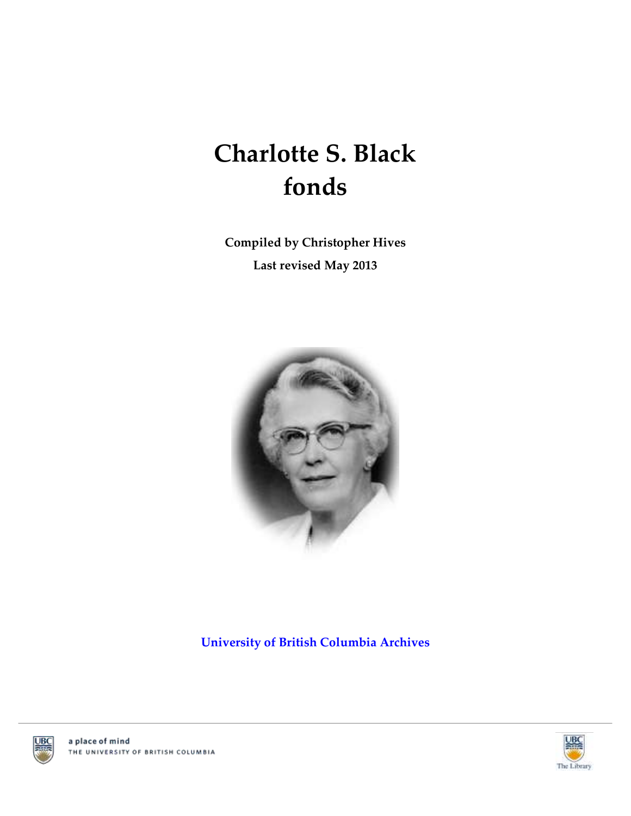# **Charlotte S. Black fonds**

**Compiled by Christopher Hives Last revised May 2013**



**[University of British Columbia Archives](http://www.library.ubc.ca/archives/)**





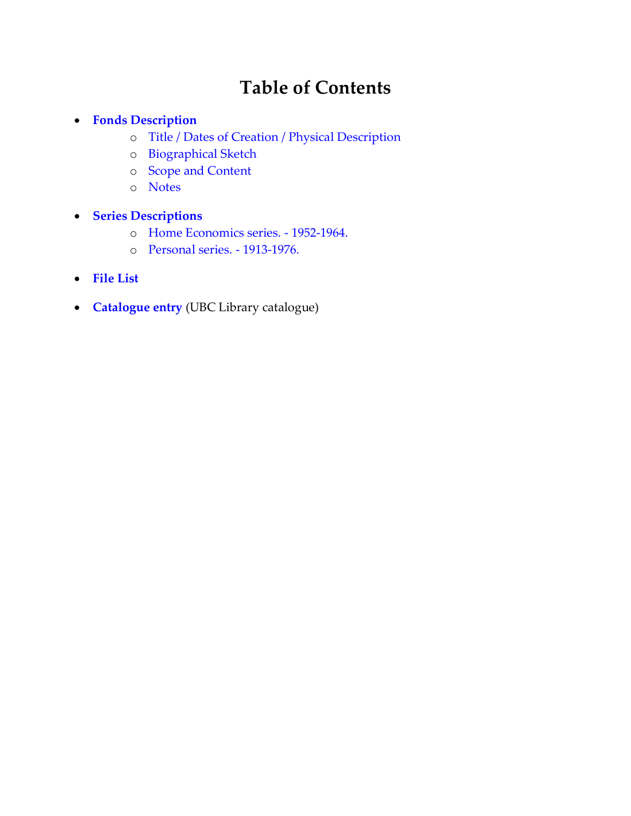# **Table of Contents**

#### **[Fonds Description](#page-2-0)**

- o [Title / Dates of Creation / Physical Description](#page-2-1)
- o [Biographical Sketch](#page-2-2)
- o [Scope and Content](#page-2-3)
- o [Notes](#page-2-4)
- **[Series Descriptions](#page-3-0)**
	- o [Home Economics series. -](#page-3-1) 1952-1964.
	- o [Personal series. -](#page-3-2) 1913-1976.
- **[File List](#page-4-0)**
- **[Catalogue entry](http://resolve.library.ubc.ca/cgi-bin/catsearch?title=Charlotte+Black+fonds)** (UBC Library catalogue)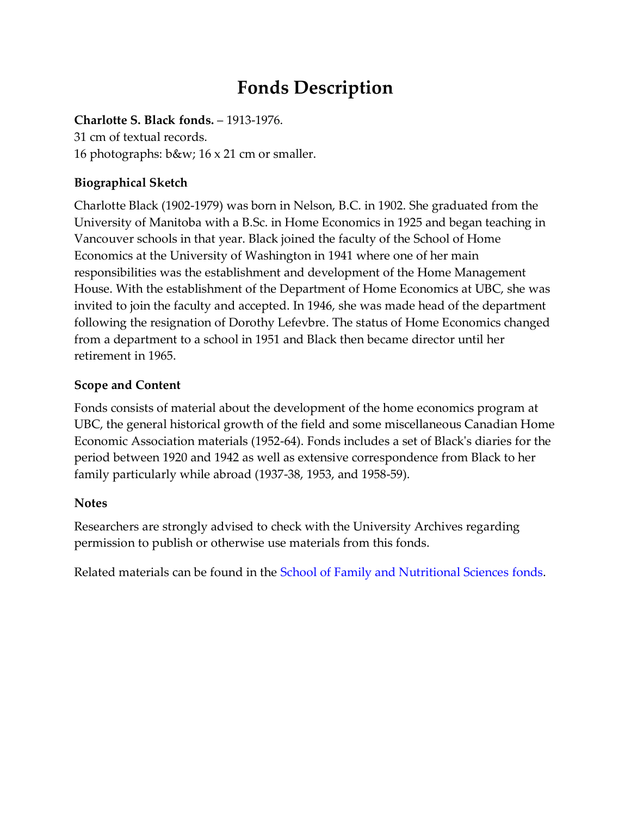## **Fonds Description**

#### <span id="page-2-1"></span><span id="page-2-0"></span>**Charlotte S. Black fonds.** – 1913-1976.

31 cm of textual records. 16 photographs: b&w; 16 x 21 cm or smaller.

#### <span id="page-2-2"></span>**Biographical Sketch**

Charlotte Black (1902-1979) was born in Nelson, B.C. in 1902. She graduated from the University of Manitoba with a B.Sc. in Home Economics in 1925 and began teaching in Vancouver schools in that year. Black joined the faculty of the School of Home Economics at the University of Washington in 1941 where one of her main responsibilities was the establishment and development of the Home Management House. With the establishment of the Department of Home Economics at UBC, she was invited to join the faculty and accepted. In 1946, she was made head of the department following the resignation of Dorothy Lefevbre. The status of Home Economics changed from a department to a school in 1951 and Black then became director until her retirement in 1965.

#### <span id="page-2-3"></span>**Scope and Content**

Fonds consists of material about the development of the home economics program at UBC, the general historical growth of the field and some miscellaneous Canadian Home Economic Association materials (1952-64). Fonds includes a set of Black's diaries for the period between 1920 and 1942 as well as extensive correspondence from Black to her family particularly while abroad (1937-38, 1953, and 1958-59).

#### <span id="page-2-4"></span>**Notes**

Researchers are strongly advised to check with the University Archives regarding permission to publish or otherwise use materials from this fonds.

Related materials can be found in the [School of Family and Nutritional Sciences](http://www.library.ubc.ca/archives/u_arch/fns.pdf) fonds.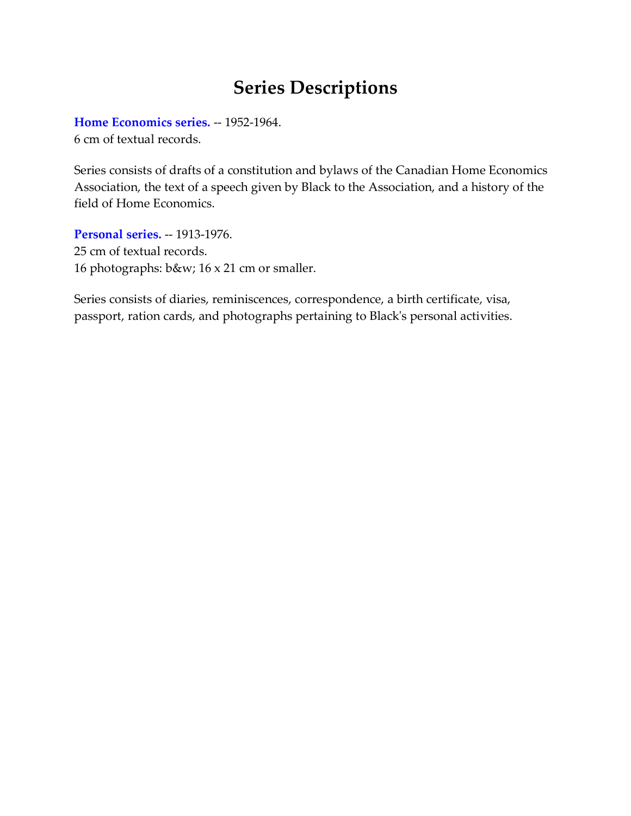### **Series Descriptions**

<span id="page-3-1"></span><span id="page-3-0"></span>**[Home Economics series.](#page-4-1)** -- 1952-1964. 6 cm of textual records.

Series consists of drafts of a constitution and bylaws of the Canadian Home Economics Association, the text of a speech given by Black to the Association, and a history of the field of Home Economics.

<span id="page-3-2"></span>**[Personal series.](#page-4-2)** -- 1913-1976. 25 cm of textual records. 16 photographs: b&w; 16 x 21 cm or smaller.

Series consists of diaries, reminiscences, correspondence, a birth certificate, visa, passport, ration cards, and photographs pertaining to Black's personal activities.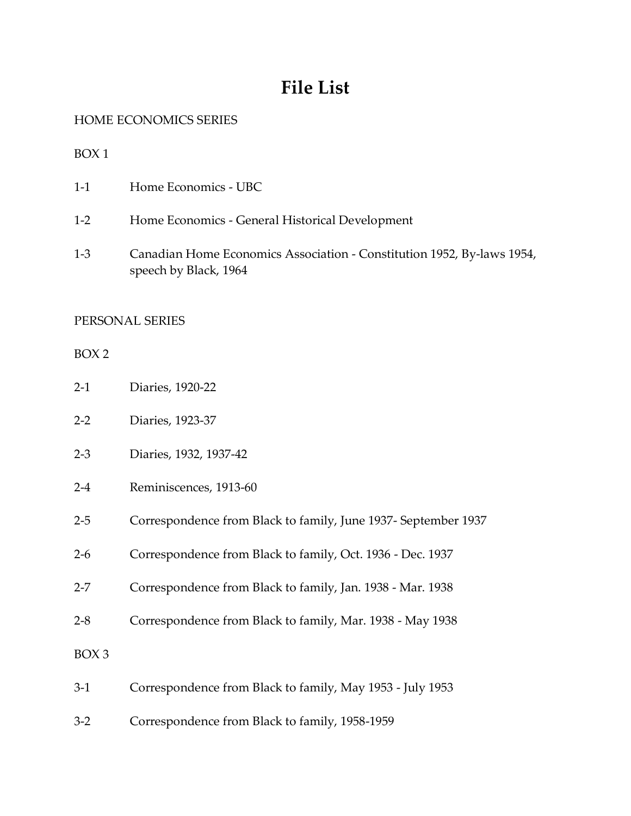### **File List**

<span id="page-4-1"></span><span id="page-4-0"></span>HOME ECONOMICS SERIES

BOX 1

- 1-1 Home Economics UBC
- 1-2 Home Economics General Historical Development
- 1-3 Canadian Home Economics Association Constitution 1952, By-laws 1954, speech by Black, 1964

#### <span id="page-4-2"></span>PERSONAL SERIES

BOX 2

- 2-1 Diaries, 1920-22
- 2-2 Diaries, 1923-37
- 2-3 Diaries, 1932, 1937-42
- 2-4 Reminiscences, 1913-60
- 2-5 Correspondence from Black to family, June 1937- September 1937
- 2-6 Correspondence from Black to family, Oct. 1936 Dec. 1937
- 2-7 Correspondence from Black to family, Jan. 1938 Mar. 1938
- 2-8 Correspondence from Black to family, Mar. 1938 May 1938

BOX 3

- 3-1 Correspondence from Black to family, May 1953 July 1953
- 3-2 Correspondence from Black to family, 1958-1959